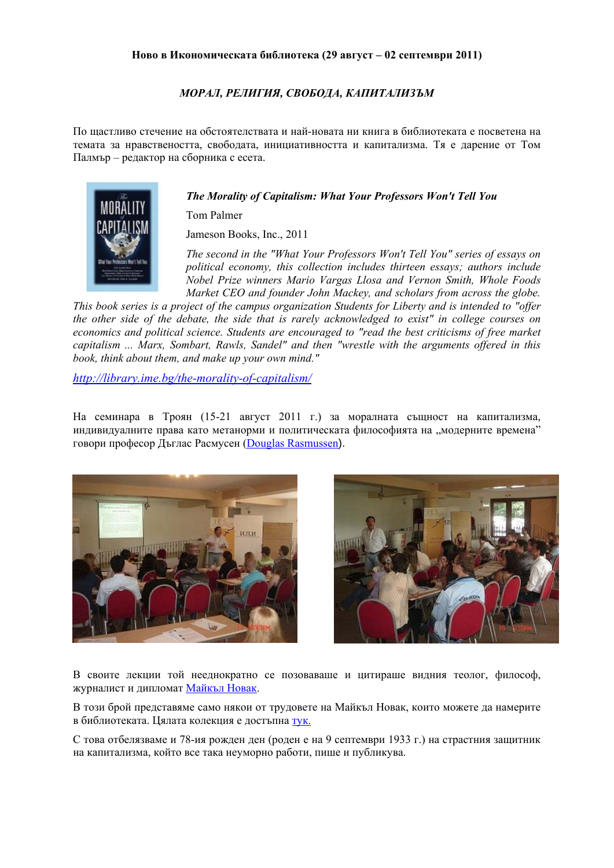### *МОРАЛ, РЕЛИГИЯ, СВОБОДА, КАПИТАЛИЗЪМ*

По щастливо стечение на обстоятелствата и най-новата ни книга в библиотеката е посветена на темата за нравствеността, свободата, инициативността и капитализма. Тя е дарение от Том Палмър – редактор на сборника с есета.

#### *The Morality of Capitalism: What Your Professors Won't Tell You*

Tom Palmer

Jameson Books, Inc., 2011

*The second in the "What Your Professors Won't Tell You" series of essays on political economy, this collection includes thirteen essays; authors include Nobel Prize winners Mario Vargas Llosa and Vernon Smith, Whole Foods Market CEO and founder John Mackey, and scholars from across the globe.* 

*This book series is a project of the campus organization Students for Liberty and is intended to "offer the other side of the debate, the side that is rarely acknowledged to exist" in college courses on economics and political science. Students are encouraged to "read the best criticisms of free market capitalism ... Marx, Sombart, Rawls, Sandel" and then "wrestle with the arguments offered in this book, think about them, and make up your own mind."* 

*<http://library.ime.bg/the-morality-of-capitalism/>*

На семинара в Троян (15-21 август 2011 г.) за моралната същност на капитализма, индивидуалните права като метанорми и политическата философията на "модерните времена" говори професор Дъглас Расмусен [\(Douglas Rasmussen](http://www.stjohns.edu/academics/undergraduate/liberalarts/departments/philosophy/faculty/profiles/rasmussen)).





В своите лекции той нееднократно се позоваваше и цитираше видния теолог, философ, журналист и дипломат [Майкъл](http://www.michaelnovak.net/) Новак.

В този брой представяме само някои от трудовете на Майкъл Новак, които можете да намерите в библиотеката. Цялата колекция е достъпна [тук](http://library.ime.bg/authors/michael-novak-/).

С това отбелязваме и 78-ия рожден ден (роден е на 9 септември 1933 г.) на страстния защитник на капитализма, който все така неуморно работи, пише и публикува.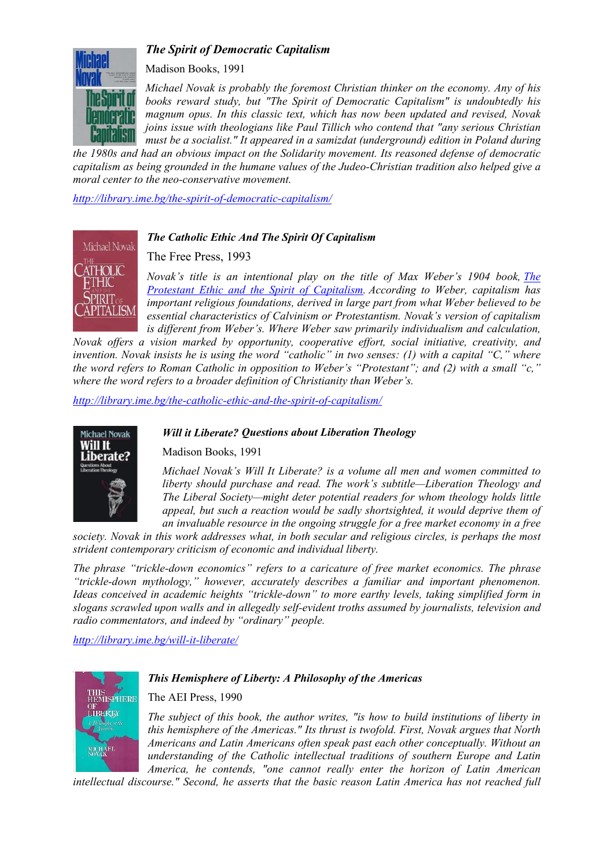# *The Spirit of Democratic Capitalism*



Madison Books, 1991

*Michael Novak is probably the foremost Christian thinker on the economy. Any of his books reward study, but "The Spirit of Democratic Capitalism" is undoubtedly his magnum opus. In this classic text, which has now been updated and revised, Novak joins issue with theologians like Paul Tillich who contend that "any serious Christian must be a socialist." It appeared in a samizdat (underground) edition in Poland during* 

*the 1980s and had an obvious impact on the Solidarity movement. Its reasoned defense of democratic capitalism as being grounded in the humane values of the Judeo-Christian tradition also helped give a moral center to the neo-conservative movement.* 

*<http://library.ime.bg/the-spirit-of-democratic-capitalism/>*



## *The Catholic Ethic And The Spirit Of Capitalism*

## The Free Press, 1993

*Novak's title is an intentional play on the title of Max Weber's 1904 book, The [Protestant Ethic and the Spirit of Capitalism](http://library.ime.bg/the-protestant-ethic-and-the-spirit-of-capitalism/). According to Weber, capitalism has important religious foundations, derived in large part from what Weber believed to be essential characteristics of Calvinism or Protestantism. Novak's version of capitalism*  is different from Weber's. Where Weber saw primarily individualism and calculation,

*Novak offers a vision marked by opportunity, cooperative effort, social initiative, creativity, and invention. Novak insists he is using the word "catholic" in two senses: (1) with a capital "C," where the word refers to Roman Catholic in opposition to Weber's "Protestant"; and (2) with a small "c," where the word refers to a broader definition of Christianity than Weber's.* 

*Will it Liberate? Questions about Liberation Theology* 

*<http://library.ime.bg/the-catholic-ethic-and-the-spirit-of-capitalism/>*



#### Madison Books, 1991

*Michael Novak's Will It Liberate? is a volume all men and women committed to liberty should purchase and read. The work's subtitle—Liberation Theology and The Liberal Society—might deter potential readers for whom theology holds little appeal, but such a reaction would be sadly shortsighted, it would deprive them of an invaluable resource in the ongoing struggle for a free market economy in a free* 

*society. Novak in this work addresses what, in both secular and religious circles, is perhaps the most strident contemporary criticism of economic and individual liberty.* 

*The phrase "trickle-down economics" refers to a caricature of free market economics. The phrase "trickle-down mythology," however, accurately describes a familiar and important phenomenon. Ideas conceived in academic heights "trickle-down" to more earthy levels, taking simplified form in slogans scrawled upon walls and in allegedly self-evident troths assumed by journalists, television and radio commentators, and indeed by "ordinary" people.* 

*<http://library.ime.bg/will-it-liberate/>*



#### *This Hemisphere of Liberty: A Philosophy of the Americas*

Тhe AEI Press, 1990

*The subject of this book, the author writes, "is how to build institutions of liberty in this hemisphere of the Americas." Its thrust is twofold. First, Novak argues that North Americans and Latin Americans often speak past each other conceptually. Without an understanding of the Catholic intellectual traditions of southern Europe and Latin America, he contends, "one cannot really enter the horizon of Latin American* 

*intellectual discourse." Second, he asserts that the basic reason Latin America has not reached full*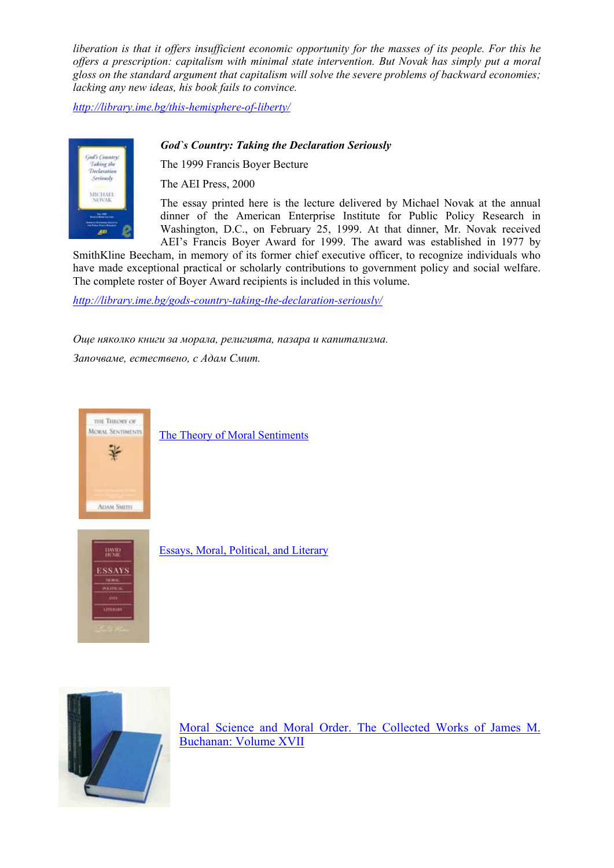*liberation is that it offers insufficient economic opportunity for the masses of its people. For this he offers a prescription: capitalism with minimal state intervention. But Novak has simply put a moral gloss on the standard argument that capitalism will solve the severe problems of backward economies; lacking any new ideas, his book fails to convince.* 

*<http://library.ime.bg/this-hemisphere-of-liberty/>*

## *God`s Country: Taking the Declaration Seriously*

The 1999 Francis Boyer Becture

The AEI Press, 2000

The essay printed here is the lecture delivered by Michael Novak at the annual dinner of the American Enterprise Institute for Public Policy Research in Washington, D.C., on February 25, 1999. At that dinner, Mr. Novak received AEI's Francis Boyer Award for 1999. The award was established in 1977 by

SmithKline Beecham, in memory of its former chief executive officer, to recognize individuals who have made exceptional practical or scholarly contributions to government policy and social welfare. The complete roster of Boyer Award recipients is included in this volume.

*<http://library.ime.bg/gods-country-taking-the-declaration-seriously/>*

*Още няколко книги за морала, религията, пазара и капитализма.* 

*Започваме, естествено, с Адам Смит.* 



[The Theory of Moral Sentiments](http://library.ime.bg/the-theory-of-moral-sentiments/)



[Essays, Moral, Political, and Literary](http://library.ime.bg/essays-moral-political-and-literary/) 



[Moral Science and Moral Order. The Collected Works of James M.](http://library.ime.bg/moral-science-and-moral-order/)  [Buchanan: Volume XVII](http://library.ime.bg/moral-science-and-moral-order/)